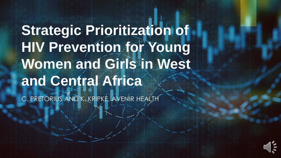**Strategic Prioritization of HIV Prevention for Young Women and Girls in West and Central Africa**

C. PRETORIUS AND K. KRIPKE, AVENIR HEALTH

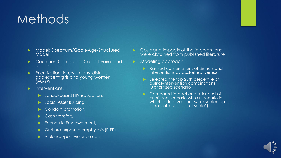## Methods

- **Model: Spectrum/Goals-Age-Structured** Model
- Countries: Cameroon, Côte d'Ivoire, and **Nigeria**
- $\blacktriangleright$  Prioritization: interventions, districts, adolescent girls and young women (AGYW
- Interventions:
	- School-based HIV education,
	- Social Asset Building,
	- Condom promotion,
	- Cash transfers,
	- Economic Empowerment,
	- Oral pre-exposure prophylaxis (PrEP)
	- Violence/post-violence care
- $\triangleright$  Costs and impacts of the interventions were obtained from published literature
- Modeling approach:
	- Ranked combinations of districts and interventions by cost-effectiveness
	- Selected the top 25th percentile of district-intervention combinations →prioritized scenario
	- Compared impact and total cost of prioritized scenario with a scenario in which all interventions were scaled up across all districts ("full scale")

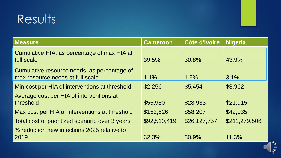## Results

| <b>Measure</b>                                                                  | <b>Cameroon</b> | <b>Côte d'Ivoire</b> | <b>Nigeria</b> |
|---------------------------------------------------------------------------------|-----------------|----------------------|----------------|
| Cumulative HIA, as percentage of max HIA at<br>full scale                       | 39.5%           | 30.8%                | 43.9%          |
| Cumulative resource needs, as percentage of<br>max resource needs at full scale | 1.1%            | 1.5%                 | 3.1%           |
| Min cost per HIA of interventions at threshold                                  | \$2,256         | \$5,454              | \$3,962        |
| Average cost per HIA of interventions at<br>threshold                           | \$55,980        | \$28,933             | \$21,915       |
| Max cost per HIA of interventions at threshold                                  | \$152,626       | \$58,207             | \$42,035       |
| Total cost of prioritized scenario over 3 years                                 | \$92,510,419    | \$26,127,757         | \$211,279,506  |
| % reduction new infections 2025 relative to<br>2019                             | 32.3%           | 30.9%                | 11.3%          |